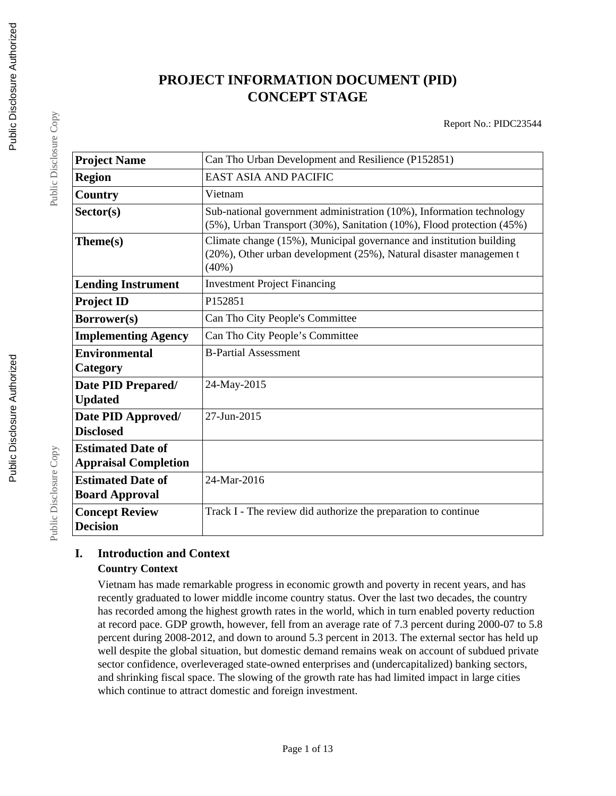# **PROJECT INFORMATION DOCUMENT (PID) CONCEPT STAGE**

Report No.: PIDC23544

| <b>Project Name</b>                                     | Can Tho Urban Development and Resilience (P152851)                                                                                                    |
|---------------------------------------------------------|-------------------------------------------------------------------------------------------------------------------------------------------------------|
| <b>Region</b>                                           | <b>EAST ASIA AND PACIFIC</b>                                                                                                                          |
| Country                                                 | Vietnam                                                                                                                                               |
| Sector(s)                                               | Sub-national government administration (10%), Information technology<br>(5%), Urban Transport (30%), Sanitation (10%), Flood protection (45%)         |
| Theme(s)                                                | Climate change (15%), Municipal governance and institution building<br>(20%), Other urban development (25%), Natural disaster managemen t<br>$(40\%)$ |
| <b>Lending Instrument</b>                               | <b>Investment Project Financing</b>                                                                                                                   |
| <b>Project ID</b>                                       | P152851                                                                                                                                               |
| Borrower(s)                                             | Can Tho City People's Committee                                                                                                                       |
| <b>Implementing Agency</b>                              | Can Tho City People's Committee                                                                                                                       |
| <b>Environmental</b><br>Category                        | <b>B-Partial Assessment</b>                                                                                                                           |
| Date PID Prepared/<br><b>Updated</b>                    | 24-May-2015                                                                                                                                           |
| Date PID Approved/<br><b>Disclosed</b>                  | 27-Jun-2015                                                                                                                                           |
| <b>Estimated Date of</b><br><b>Appraisal Completion</b> |                                                                                                                                                       |
| <b>Estimated Date of</b><br><b>Board Approval</b>       | 24-Mar-2016                                                                                                                                           |
| <b>Concept Review</b><br><b>Decision</b>                | Track I - The review did authorize the preparation to continue                                                                                        |

### **I. Introduction and Context Country Context**

Vietnam has made remarkable progress in economic growth and poverty in recent years, and has recently graduated to lower middle income country status. Over the last two decades, the country has recorded among the highest growth rates in the world, which in turn enabled poverty reduction at record pace. GDP growth, however, fell from an average rate of 7.3 percent during 2000-07 to 5.8 percent during 2008-2012, and down to around 5.3 percent in 2013. The external sector has held up well despite the global situation, but domestic demand remains weak on account of subdued private sector confidence, overleveraged state-owned enterprises and (undercapitalized) banking sectors, and shrinking fiscal space. The slowing of the growth rate has had limited impact in large cities which continue to attract domestic and foreign investment.

Public Disclosure Copy

Public Disclosure Copy

Public Disclosure Copy

Public Disclosure Copy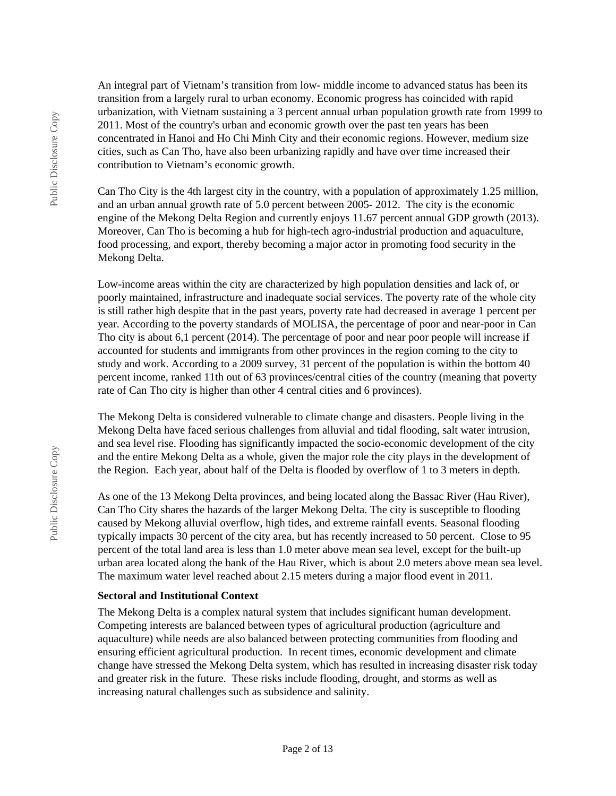An integral part of Vietnam's transition from low- middle income to advanced status has been its transition from a largely rural to urban economy. Economic progress has coincided with rapid urbanization, with Vietnam sustaining a 3 percent annual urban population growth rate from 1999 to 2011. Most of the country's urban and economic growth over the past ten years has been concentrated in Hanoi and Ho Chi Minh City and their economic regions. However, medium size cities, such as Can Tho, have also been urbanizing rapidly and have over time increased their contribution to Vietnam's economic growth.

Can Tho City is the 4th largest city in the country, with a population of approximately 1.25 million, and an urban annual growth rate of 5.0 percent between 2005- 2012. The city is the economic engine of the Mekong Delta Region and currently enjoys 11.67 percent annual GDP growth (2013). Moreover, Can Tho is becoming a hub for high-tech agro-industrial production and aquaculture, food processing, and export, thereby becoming a major actor in promoting food security in the Mekong Delta.

Low-income areas within the city are characterized by high population densities and lack of, or poorly maintained, infrastructure and inadequate social services. The poverty rate of the whole city is still rather high despite that in the past years, poverty rate had decreased in average 1 percent per year. According to the poverty standards of MOLISA, the percentage of poor and near-poor in Can Tho city is about 6,1 percent (2014). The percentage of poor and near poor people will increase if accounted for students and immigrants from other provinces in the region coming to the city to study and work. According to a 2009 survey, 31 percent of the population is within the bottom 40 percent income, ranked 11th out of 63 provinces/central cities of the country (meaning that poverty rate of Can Tho city is higher than other 4 central cities and 6 provinces).

The Mekong Delta is considered vulnerable to climate change and disasters. People living in the Mekong Delta have faced serious challenges from alluvial and tidal flooding, salt water intrusion, and sea level rise. Flooding has significantly impacted the socio-economic development of the city and the entire Mekong Delta as a whole, given the major role the city plays in the development of the Region. Each year, about half of the Delta is flooded by overflow of 1 to 3 meters in depth.

As one of the 13 Mekong Delta provinces, and being located along the Bassac River (Hau River), Can Tho City shares the hazards of the larger Mekong Delta. The city is susceptible to flooding caused by Mekong alluvial overflow, high tides, and extreme rainfall events. Seasonal flooding typically impacts 30 percent of the city area, but has recently increased to 50 percent. Close to 95 percent of the total land area is less than 1.0 meter above mean sea level, except for the built-up urban area located along the bank of the Hau River, which is about 2.0 meters above mean sea level. The maximum water level reached about 2.15 meters during a major flood event in 2011.

#### **Sectoral and Institutional Context**

The Mekong Delta is a complex natural system that includes significant human development. Competing interests are balanced between types of agricultural production (agriculture and aquaculture) while needs are also balanced between protecting communities from flooding and ensuring efficient agricultural production. In recent times, economic development and climate change have stressed the Mekong Delta system, which has resulted in increasing disaster risk today and greater risk in the future. These risks include flooding, drought, and storms as well as increasing natural challenges such as subsidence and salinity.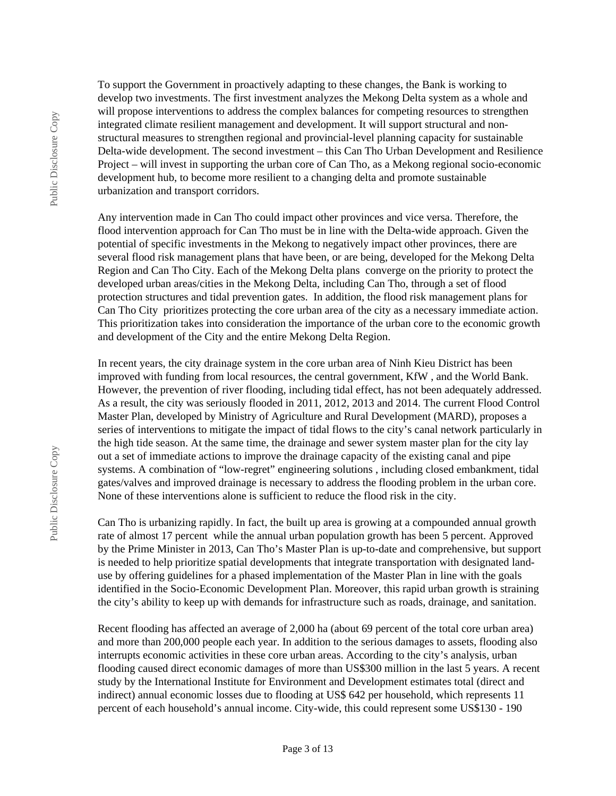To support the Government in proactively adapting to these changes, the Bank is working to develop two investments. The first investment analyzes the Mekong Delta system as a whole and will propose interventions to address the complex balances for competing resources to strengthen integrated climate resilient management and development. It will support structural and nonstructural measures to strengthen regional and provincial-level planning capacity for sustainable Delta-wide development. The second investment – this Can Tho Urban Development and Resilience Project – will invest in supporting the urban core of Can Tho, as a Mekong regional socio-economic development hub, to become more resilient to a changing delta and promote sustainable urbanization and transport corridors.

Any intervention made in Can Tho could impact other provinces and vice versa. Therefore, the flood intervention approach for Can Tho must be in line with the Delta-wide approach. Given the potential of specific investments in the Mekong to negatively impact other provinces, there are several flood risk management plans that have been, or are being, developed for the Mekong Delta Region and Can Tho City. Each of the Mekong Delta plans converge on the priority to protect the developed urban areas/cities in the Mekong Delta, including Can Tho, through a set of flood protection structures and tidal prevention gates. In addition, the flood risk management plans for Can Tho City prioritizes protecting the core urban area of the city as a necessary immediate action. This prioritization takes into consideration the importance of the urban core to the economic growth and development of the City and the entire Mekong Delta Region.

In recent years, the city drainage system in the core urban area of Ninh Kieu District has been improved with funding from local resources, the central government, KfW , and the World Bank. However, the prevention of river flooding, including tidal effect, has not been adequately addressed. As a result, the city was seriously flooded in 2011, 2012, 2013 and 2014. The current Flood Control Master Plan, developed by Ministry of Agriculture and Rural Development (MARD), proposes a series of interventions to mitigate the impact of tidal flows to the city's canal network particularly in the high tide season. At the same time, the drainage and sewer system master plan for the city lay out a set of immediate actions to improve the drainage capacity of the existing canal and pipe systems. A combination of "low-regret" engineering solutions , including closed embankment, tidal gates/valves and improved drainage is necessary to address the flooding problem in the urban core. None of these interventions alone is sufficient to reduce the flood risk in the city.

Can Tho is urbanizing rapidly. In fact, the built up area is growing at a compounded annual growth rate of almost 17 percent while the annual urban population growth has been 5 percent. Approved by the Prime Minister in 2013, Can Tho's Master Plan is up-to-date and comprehensive, but support is needed to help prioritize spatial developments that integrate transportation with designated landuse by offering guidelines for a phased implementation of the Master Plan in line with the goals identified in the Socio-Economic Development Plan. Moreover, this rapid urban growth is straining the city's ability to keep up with demands for infrastructure such as roads, drainage, and sanitation.

Recent flooding has affected an average of 2,000 ha (about 69 percent of the total core urban area) and more than 200,000 people each year. In addition to the serious damages to assets, flooding also interrupts economic activities in these core urban areas. According to the city's analysis, urban flooding caused direct economic damages of more than US\$300 million in the last 5 years. A recent study by the International Institute for Environment and Development estimates total (direct and indirect) annual economic losses due to flooding at US\$ 642 per household, which represents 11 percent of each household's annual income. City-wide, this could represent some US\$130 - 190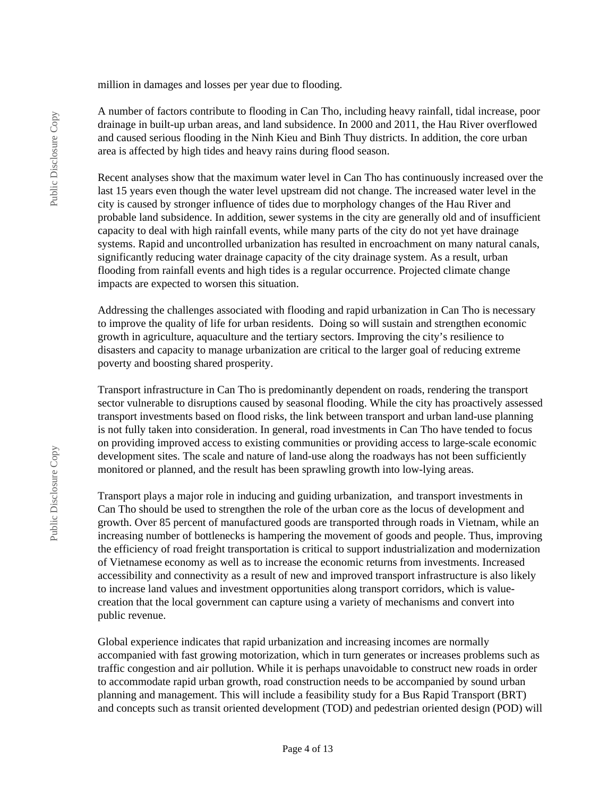million in damages and losses per year due to flooding.

A number of factors contribute to flooding in Can Tho, including heavy rainfall, tidal increase, poor drainage in built-up urban areas, and land subsidence. In 2000 and 2011, the Hau River overflowed and caused serious flooding in the Ninh Kieu and Binh Thuy districts. In addition, the core urban area is affected by high tides and heavy rains during flood season.

Recent analyses show that the maximum water level in Can Tho has continuously increased over the last 15 years even though the water level upstream did not change. The increased water level in the city is caused by stronger influence of tides due to morphology changes of the Hau River and probable land subsidence. In addition, sewer systems in the city are generally old and of insufficient capacity to deal with high rainfall events, while many parts of the city do not yet have drainage systems. Rapid and uncontrolled urbanization has resulted in encroachment on many natural canals, significantly reducing water drainage capacity of the city drainage system. As a result, urban flooding from rainfall events and high tides is a regular occurrence. Projected climate change impacts are expected to worsen this situation.

Addressing the challenges associated with flooding and rapid urbanization in Can Tho is necessary to improve the quality of life for urban residents. Doing so will sustain and strengthen economic growth in agriculture, aquaculture and the tertiary sectors. Improving the city's resilience to disasters and capacity to manage urbanization are critical to the larger goal of reducing extreme poverty and boosting shared prosperity.

Transport infrastructure in Can Tho is predominantly dependent on roads, rendering the transport sector vulnerable to disruptions caused by seasonal flooding. While the city has proactively assessed transport investments based on flood risks, the link between transport and urban land-use planning is not fully taken into consideration. In general, road investments in Can Tho have tended to focus on providing improved access to existing communities or providing access to large-scale economic development sites. The scale and nature of land-use along the roadways has not been sufficiently monitored or planned, and the result has been sprawling growth into low-lying areas.

Transport plays a major role in inducing and guiding urbanization, and transport investments in Can Tho should be used to strengthen the role of the urban core as the locus of development and growth. Over 85 percent of manufactured goods are transported through roads in Vietnam, while an increasing number of bottlenecks is hampering the movement of goods and people. Thus, improving the efficiency of road freight transportation is critical to support industrialization and modernization of Vietnamese economy as well as to increase the economic returns from investments. Increased accessibility and connectivity as a result of new and improved transport infrastructure is also likely to increase land values and investment opportunities along transport corridors, which is valuecreation that the local government can capture using a variety of mechanisms and convert into public revenue.

Global experience indicates that rapid urbanization and increasing incomes are normally accompanied with fast growing motorization, which in turn generates or increases problems such as traffic congestion and air pollution. While it is perhaps unavoidable to construct new roads in order to accommodate rapid urban growth, road construction needs to be accompanied by sound urban planning and management. This will include a feasibility study for a Bus Rapid Transport (BRT) and concepts such as transit oriented development (TOD) and pedestrian oriented design (POD) will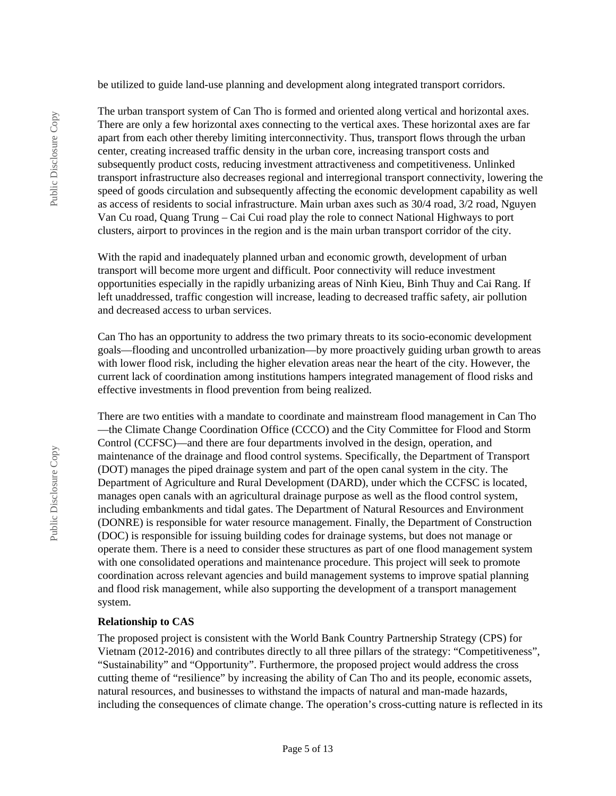be utilized to guide land-use planning and development along integrated transport corridors.

The urban transport system of Can Tho is formed and oriented along vertical and horizontal axes. There are only a few horizontal axes connecting to the vertical axes. These horizontal axes are far apart from each other thereby limiting interconnectivity. Thus, transport flows through the urban center, creating increased traffic density in the urban core, increasing transport costs and subsequently product costs, reducing investment attractiveness and competitiveness. Unlinked transport infrastructure also decreases regional and interregional transport connectivity, lowering the speed of goods circulation and subsequently affecting the economic development capability as well as access of residents to social infrastructure. Main urban axes such as 30/4 road, 3/2 road, Nguyen Van Cu road, Quang Trung – Cai Cui road play the role to connect National Highways to port clusters, airport to provinces in the region and is the main urban transport corridor of the city.

With the rapid and inadequately planned urban and economic growth, development of urban transport will become more urgent and difficult. Poor connectivity will reduce investment opportunities especially in the rapidly urbanizing areas of Ninh Kieu, Binh Thuy and Cai Rang. If left unaddressed, traffic congestion will increase, leading to decreased traffic safety, air pollution and decreased access to urban services.

Can Tho has an opportunity to address the two primary threats to its socio-economic development goals—flooding and uncontrolled urbanization—by more proactively guiding urban growth to areas with lower flood risk, including the higher elevation areas near the heart of the city. However, the current lack of coordination among institutions hampers integrated management of flood risks and effective investments in flood prevention from being realized.

There are two entities with a mandate to coordinate and mainstream flood management in Can Tho —the Climate Change Coordination Office (CCCO) and the City Committee for Flood and Storm Control (CCFSC)—and there are four departments involved in the design, operation, and maintenance of the drainage and flood control systems. Specifically, the Department of Transport (DOT) manages the piped drainage system and part of the open canal system in the city. The Department of Agriculture and Rural Development (DARD), under which the CCFSC is located, manages open canals with an agricultural drainage purpose as well as the flood control system, including embankments and tidal gates. The Department of Natural Resources and Environment (DONRE) is responsible for water resource management. Finally, the Department of Construction (DOC) is responsible for issuing building codes for drainage systems, but does not manage or operate them. There is a need to consider these structures as part of one flood management system with one consolidated operations and maintenance procedure. This project will seek to promote coordination across relevant agencies and build management systems to improve spatial planning and flood risk management, while also supporting the development of a transport management system.

#### **Relationship to CAS**

The proposed project is consistent with the World Bank Country Partnership Strategy (CPS) for Vietnam (2012-2016) and contributes directly to all three pillars of the strategy: "Competitiveness", "Sustainability" and "Opportunity". Furthermore, the proposed project would address the cross cutting theme of "resilience" by increasing the ability of Can Tho and its people, economic assets, natural resources, and businesses to withstand the impacts of natural and man-made hazards, including the consequences of climate change. The operation's cross-cutting nature is reflected in its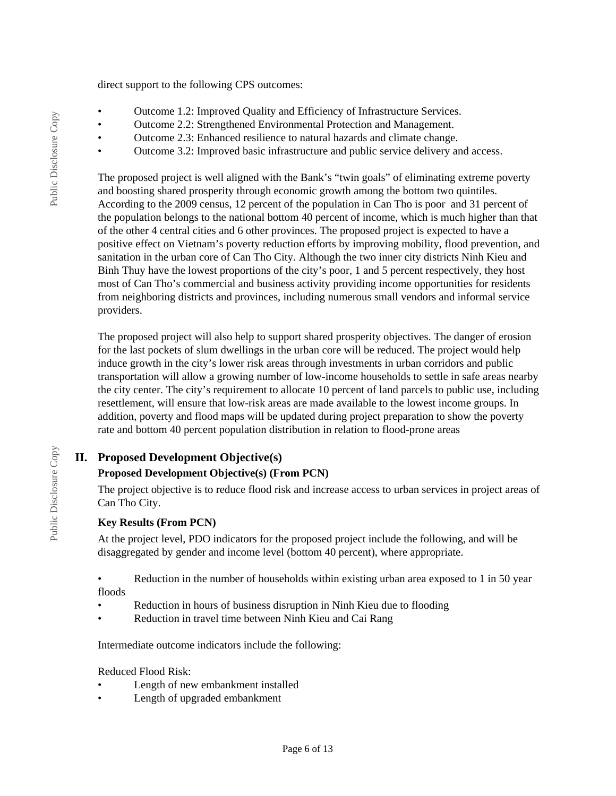direct support to the following CPS outcomes:

- Outcome 1.2: Improved Quality and Efficiency of Infrastructure Services.
- Outcome 2.2: Strengthened Environmental Protection and Management.
- Outcome 2.3: Enhanced resilience to natural hazards and climate change.
- Outcome 3.2: Improved basic infrastructure and public service delivery and access.

The proposed project is well aligned with the Bank's "twin goals" of eliminating extreme poverty and boosting shared prosperity through economic growth among the bottom two quintiles. According to the 2009 census, 12 percent of the population in Can Tho is poor and 31 percent of the population belongs to the national bottom 40 percent of income, which is much higher than that of the other 4 central cities and 6 other provinces. The proposed project is expected to have a positive effect on Vietnam's poverty reduction efforts by improving mobility, flood prevention, and sanitation in the urban core of Can Tho City. Although the two inner city districts Ninh Kieu and Binh Thuy have the lowest proportions of the city's poor, 1 and 5 percent respectively, they host most of Can Tho's commercial and business activity providing income opportunities for residents from neighboring districts and provinces, including numerous small vendors and informal service providers.

The proposed project will also help to support shared prosperity objectives. The danger of erosion for the last pockets of slum dwellings in the urban core will be reduced. The project would help induce growth in the city's lower risk areas through investments in urban corridors and public transportation will allow a growing number of low-income households to settle in safe areas nearby the city center. The city's requirement to allocate 10 percent of land parcels to public use, including resettlement, will ensure that low-risk areas are made available to the lowest income groups. In addition, poverty and flood maps will be updated during project preparation to show the poverty rate and bottom 40 percent population distribution in relation to flood-prone areas

### **II. Proposed Development Objective(s)**

### **Proposed Development Objective(s) (From PCN)**

The project objective is to reduce flood risk and increase access to urban services in project areas of Can Tho City.

### **Key Results (From PCN)**

At the project level, PDO indicators for the proposed project include the following, and will be disaggregated by gender and income level (bottom 40 percent), where appropriate.

• Reduction in the number of households within existing urban area exposed to 1 in 50 year floods

- Reduction in hours of business disruption in Ninh Kieu due to flooding
- Reduction in travel time between Ninh Kieu and Cai Rang

Intermediate outcome indicators include the following:

Reduced Flood Risk:

- Length of new embankment installed
- Length of upgraded embankment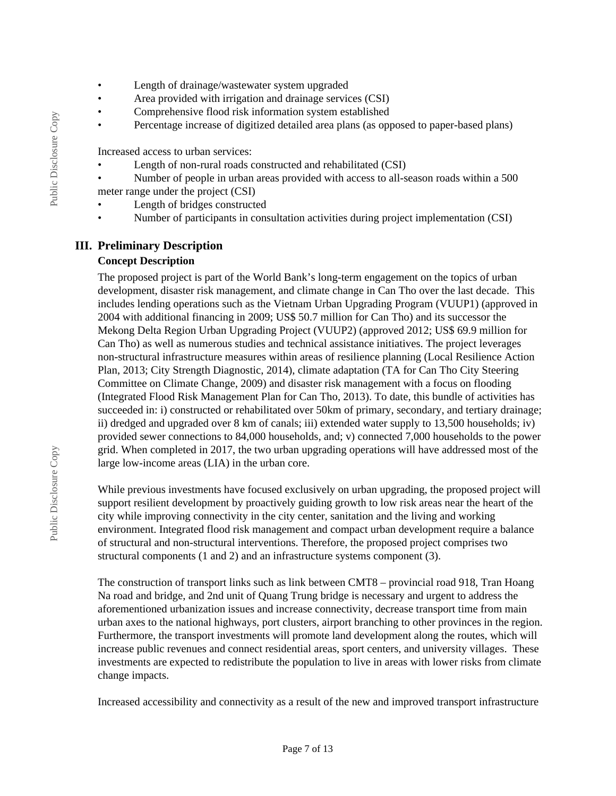- Length of drainage/wastewater system upgraded
- Area provided with irrigation and drainage services (CSI)
- Comprehensive flood risk information system established
- Percentage increase of digitized detailed area plans (as opposed to paper-based plans)

Increased access to urban services:

- Length of non-rural roads constructed and rehabilitated (CSI)
- Number of people in urban areas provided with access to all-season roads within a 500 meter range under the project (CSI)
- Length of bridges constructed
- Number of participants in consultation activities during project implementation (CSI)

### **III. Preliminary Description**

#### **Concept Description**

The proposed project is part of the World Bank's long-term engagement on the topics of urban development, disaster risk management, and climate change in Can Tho over the last decade. This includes lending operations such as the Vietnam Urban Upgrading Program (VUUP1) (approved in 2004 with additional financing in 2009; US\$ 50.7 million for Can Tho) and its successor the Mekong Delta Region Urban Upgrading Project (VUUP2) (approved 2012; US\$ 69.9 million for Can Tho) as well as numerous studies and technical assistance initiatives. The project leverages non-structural infrastructure measures within areas of resilience planning (Local Resilience Action Plan, 2013; City Strength Diagnostic, 2014), climate adaptation (TA for Can Tho City Steering Committee on Climate Change, 2009) and disaster risk management with a focus on flooding (Integrated Flood Risk Management Plan for Can Tho, 2013). To date, this bundle of activities has succeeded in: i) constructed or rehabilitated over 50km of primary, secondary, and tertiary drainage; ii) dredged and upgraded over 8 km of canals; iii) extended water supply to 13,500 households; iv) provided sewer connections to 84,000 households, and; v) connected 7,000 households to the power grid. When completed in 2017, the two urban upgrading operations will have addressed most of the large low-income areas (LIA) in the urban core.

While previous investments have focused exclusively on urban upgrading, the proposed project will support resilient development by proactively guiding growth to low risk areas near the heart of the city while improving connectivity in the city center, sanitation and the living and working environment. Integrated flood risk management and compact urban development require a balance of structural and non-structural interventions. Therefore, the proposed project comprises two structural components (1 and 2) and an infrastructure systems component (3).

The construction of transport links such as link between CMT8 – provincial road 918, Tran Hoang Na road and bridge, and 2nd unit of Quang Trung bridge is necessary and urgent to address the aforementioned urbanization issues and increase connectivity, decrease transport time from main urban axes to the national highways, port clusters, airport branching to other provinces in the region. Furthermore, the transport investments will promote land development along the routes, which will increase public revenues and connect residential areas, sport centers, and university villages. These investments are expected to redistribute the population to live in areas with lower risks from climate change impacts.

Increased accessibility and connectivity as a result of the new and improved transport infrastructure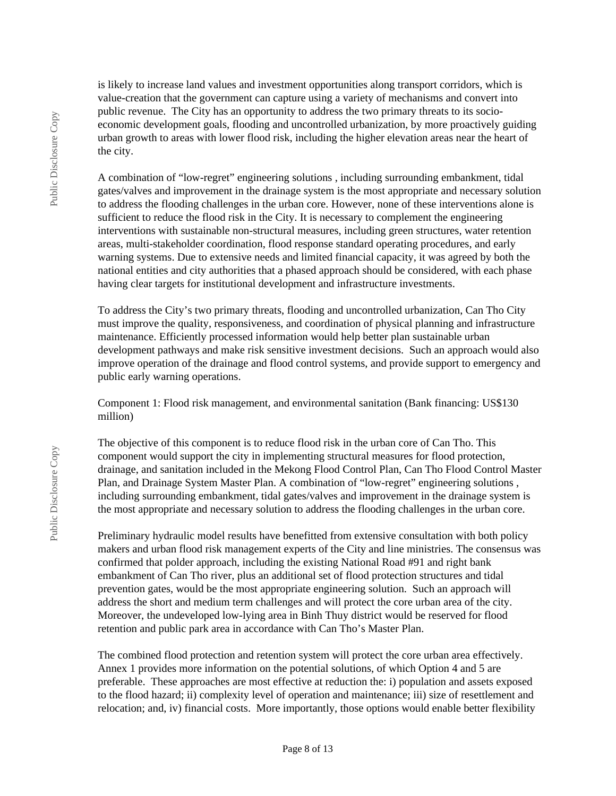is likely to increase land values and investment opportunities along transport corridors, which is value-creation that the government can capture using a variety of mechanisms and convert into public revenue. The City has an opportunity to address the two primary threats to its socioeconomic development goals, flooding and uncontrolled urbanization, by more proactively guiding urban growth to areas with lower flood risk, including the higher elevation areas near the heart of the city.

A combination of "low-regret" engineering solutions , including surrounding embankment, tidal gates/valves and improvement in the drainage system is the most appropriate and necessary solution to address the flooding challenges in the urban core. However, none of these interventions alone is sufficient to reduce the flood risk in the City. It is necessary to complement the engineering interventions with sustainable non-structural measures, including green structures, water retention areas, multi-stakeholder coordination, flood response standard operating procedures, and early warning systems. Due to extensive needs and limited financial capacity, it was agreed by both the national entities and city authorities that a phased approach should be considered, with each phase having clear targets for institutional development and infrastructure investments.

To address the City's two primary threats, flooding and uncontrolled urbanization, Can Tho City must improve the quality, responsiveness, and coordination of physical planning and infrastructure maintenance. Efficiently processed information would help better plan sustainable urban development pathways and make risk sensitive investment decisions. Such an approach would also improve operation of the drainage and flood control systems, and provide support to emergency and public early warning operations.

Component 1: Flood risk management, and environmental sanitation (Bank financing: US\$130 million)

The objective of this component is to reduce flood risk in the urban core of Can Tho. This component would support the city in implementing structural measures for flood protection, drainage, and sanitation included in the Mekong Flood Control Plan, Can Tho Flood Control Master Plan, and Drainage System Master Plan. A combination of "low-regret" engineering solutions , including surrounding embankment, tidal gates/valves and improvement in the drainage system is the most appropriate and necessary solution to address the flooding challenges in the urban core.

Preliminary hydraulic model results have benefitted from extensive consultation with both policy makers and urban flood risk management experts of the City and line ministries. The consensus was confirmed that polder approach, including the existing National Road #91 and right bank embankment of Can Tho river, plus an additional set of flood protection structures and tidal prevention gates, would be the most appropriate engineering solution. Such an approach will address the short and medium term challenges and will protect the core urban area of the city. Moreover, the undeveloped low-lying area in Binh Thuy district would be reserved for flood retention and public park area in accordance with Can Tho's Master Plan.

The combined flood protection and retention system will protect the core urban area effectively. Annex 1 provides more information on the potential solutions, of which Option 4 and 5 are preferable. These approaches are most effective at reduction the: i) population and assets exposed to the flood hazard; ii) complexity level of operation and maintenance; iii) size of resettlement and relocation; and, iv) financial costs. More importantly, those options would enable better flexibility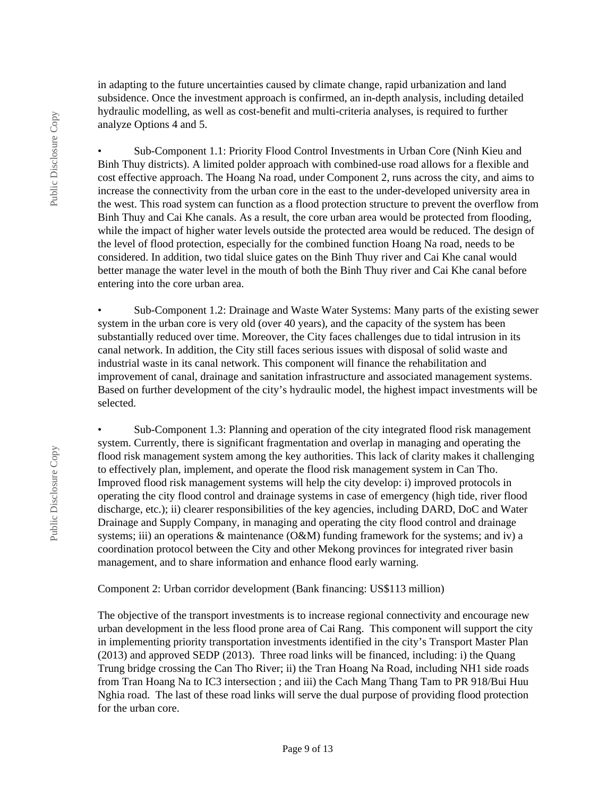in adapting to the future uncertainties caused by climate change, rapid urbanization and land subsidence. Once the investment approach is confirmed, an in-depth analysis, including detailed hydraulic modelling, as well as cost-benefit and multi-criteria analyses, is required to further analyze Options 4 and 5.

• Sub-Component 1.1: Priority Flood Control Investments in Urban Core (Ninh Kieu and Binh Thuy districts). A limited polder approach with combined-use road allows for a flexible and cost effective approach. The Hoang Na road, under Component 2, runs across the city, and aims to increase the connectivity from the urban core in the east to the under-developed university area in the west. This road system can function as a flood protection structure to prevent the overflow from Binh Thuy and Cai Khe canals. As a result, the core urban area would be protected from flooding, while the impact of higher water levels outside the protected area would be reduced. The design of the level of flood protection, especially for the combined function Hoang Na road, needs to be considered. In addition, two tidal sluice gates on the Binh Thuy river and Cai Khe canal would better manage the water level in the mouth of both the Binh Thuy river and Cai Khe canal before entering into the core urban area.

• Sub-Component 1.2: Drainage and Waste Water Systems: Many parts of the existing sewer system in the urban core is very old (over 40 years), and the capacity of the system has been substantially reduced over time. Moreover, the City faces challenges due to tidal intrusion in its canal network. In addition, the City still faces serious issues with disposal of solid waste and industrial waste in its canal network. This component will finance the rehabilitation and improvement of canal, drainage and sanitation infrastructure and associated management systems. Based on further development of the city's hydraulic model, the highest impact investments will be selected.

• Sub-Component 1.3: Planning and operation of the city integrated flood risk management system. Currently, there is significant fragmentation and overlap in managing and operating the flood risk management system among the key authorities. This lack of clarity makes it challenging to effectively plan, implement, and operate the flood risk management system in Can Tho. Improved flood risk management systems will help the city develop: i) improved protocols in operating the city flood control and drainage systems in case of emergency (high tide, river flood discharge, etc.); ii) clearer responsibilities of the key agencies, including DARD, DoC and Water Drainage and Supply Company, in managing and operating the city flood control and drainage systems; iii) an operations  $\&$  maintenance (O $\&$ M) funding framework for the systems; and iv) a coordination protocol between the City and other Mekong provinces for integrated river basin management, and to share information and enhance flood early warning.

Component 2: Urban corridor development (Bank financing: US\$113 million)

The objective of the transport investments is to increase regional connectivity and encourage new urban development in the less flood prone area of Cai Rang. This component will support the city in implementing priority transportation investments identified in the city's Transport Master Plan (2013) and approved SEDP (2013). Three road links will be financed, including: i) the Quang Trung bridge crossing the Can Tho River; ii) the Tran Hoang Na Road, including NH1 side roads from Tran Hoang Na to IC3 intersection ; and iii) the Cach Mang Thang Tam to PR 918/Bui Huu Nghia road. The last of these road links will serve the dual purpose of providing flood protection for the urban core.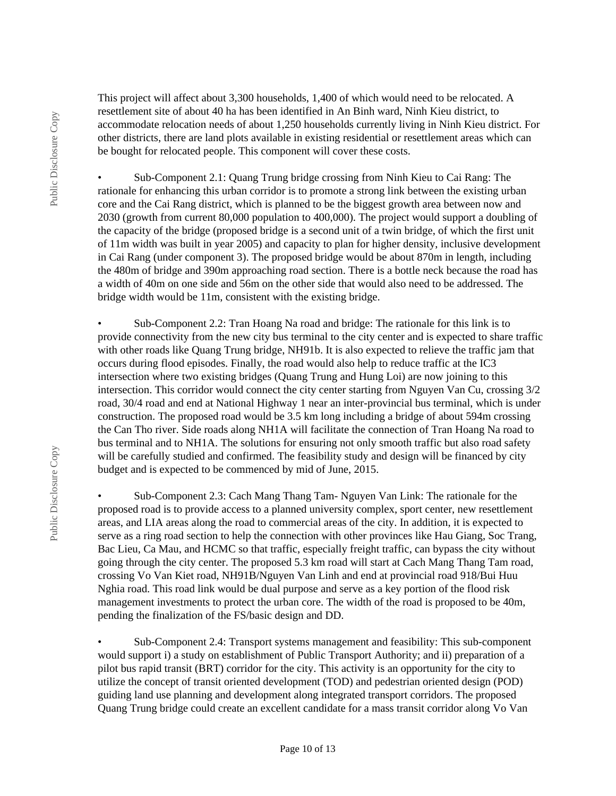This project will affect about 3,300 households, 1,400 of which would need to be relocated. A resettlement site of about 40 ha has been identified in An Binh ward, Ninh Kieu district, to accommodate relocation needs of about 1,250 households currently living in Ninh Kieu district. For other districts, there are land plots available in existing residential or resettlement areas which can be bought for relocated people. This component will cover these costs.

• Sub-Component 2.1: Quang Trung bridge crossing from Ninh Kieu to Cai Rang: The rationale for enhancing this urban corridor is to promote a strong link between the existing urban core and the Cai Rang district, which is planned to be the biggest growth area between now and 2030 (growth from current 80,000 population to 400,000). The project would support a doubling of the capacity of the bridge (proposed bridge is a second unit of a twin bridge, of which the first unit of 11m width was built in year 2005) and capacity to plan for higher density, inclusive development in Cai Rang (under component 3). The proposed bridge would be about 870m in length, including the 480m of bridge and 390m approaching road section. There is a bottle neck because the road has a width of 40m on one side and 56m on the other side that would also need to be addressed. The bridge width would be 11m, consistent with the existing bridge.

• Sub-Component 2.2: Tran Hoang Na road and bridge: The rationale for this link is to provide connectivity from the new city bus terminal to the city center and is expected to share traffic with other roads like Quang Trung bridge, NH91b. It is also expected to relieve the traffic jam that occurs during flood episodes. Finally, the road would also help to reduce traffic at the IC3 intersection where two existing bridges (Quang Trung and Hung Loi) are now joining to this intersection. This corridor would connect the city center starting from Nguyen Van Cu, crossing 3/2 road, 30/4 road and end at National Highway 1 near an inter-provincial bus terminal, which is under construction. The proposed road would be 3.5 km long including a bridge of about 594m crossing the Can Tho river. Side roads along NH1A will facilitate the connection of Tran Hoang Na road to bus terminal and to NH1A. The solutions for ensuring not only smooth traffic but also road safety will be carefully studied and confirmed. The feasibility study and design will be financed by city budget and is expected to be commenced by mid of June, 2015.

• Sub-Component 2.3: Cach Mang Thang Tam- Nguyen Van Link: The rationale for the proposed road is to provide access to a planned university complex, sport center, new resettlement areas, and LIA areas along the road to commercial areas of the city. In addition, it is expected to serve as a ring road section to help the connection with other provinces like Hau Giang, Soc Trang, Bac Lieu, Ca Mau, and HCMC so that traffic, especially freight traffic, can bypass the city without going through the city center. The proposed 5.3 km road will start at Cach Mang Thang Tam road, crossing Vo Van Kiet road, NH91B/Nguyen Van Linh and end at provincial road 918/Bui Huu Nghia road. This road link would be dual purpose and serve as a key portion of the flood risk management investments to protect the urban core. The width of the road is proposed to be 40m, pending the finalization of the FS/basic design and DD.

• Sub-Component 2.4: Transport systems management and feasibility: This sub-component would support i) a study on establishment of Public Transport Authority; and ii) preparation of a pilot bus rapid transit (BRT) corridor for the city. This activity is an opportunity for the city to utilize the concept of transit oriented development (TOD) and pedestrian oriented design (POD) guiding land use planning and development along integrated transport corridors. The proposed Quang Trung bridge could create an excellent candidate for a mass transit corridor along Vo Van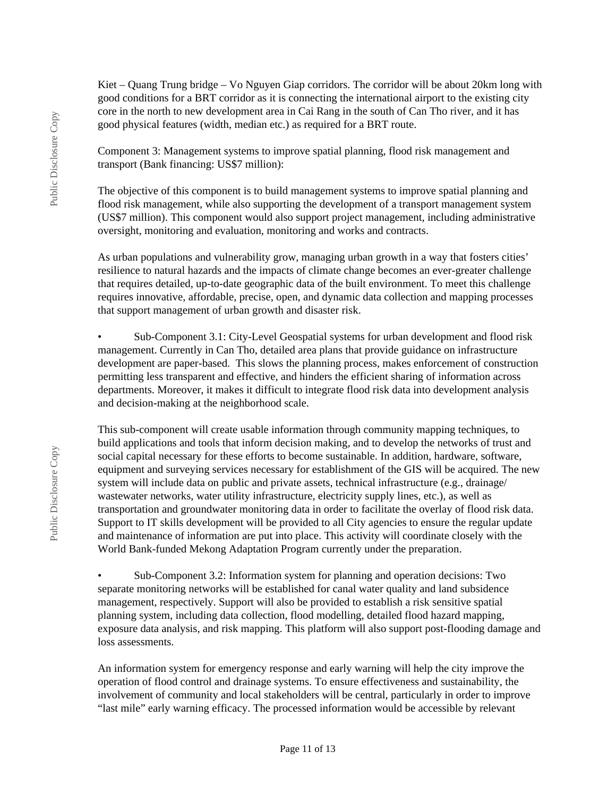Kiet – Quang Trung bridge – Vo Nguyen Giap corridors. The corridor will be about 20km long with good conditions for a BRT corridor as it is connecting the international airport to the existing city core in the north to new development area in Cai Rang in the south of Can Tho river, and it has good physical features (width, median etc.) as required for a BRT route.

Component 3: Management systems to improve spatial planning, flood risk management and transport (Bank financing: US\$7 million):

The objective of this component is to build management systems to improve spatial planning and flood risk management, while also supporting the development of a transport management system (US\$7 million). This component would also support project management, including administrative oversight, monitoring and evaluation, monitoring and works and contracts.

As urban populations and vulnerability grow, managing urban growth in a way that fosters cities' resilience to natural hazards and the impacts of climate change becomes an ever-greater challenge that requires detailed, up-to-date geographic data of the built environment. To meet this challenge requires innovative, affordable, precise, open, and dynamic data collection and mapping processes that support management of urban growth and disaster risk.

• Sub-Component 3.1: City-Level Geospatial systems for urban development and flood risk management. Currently in Can Tho, detailed area plans that provide guidance on infrastructure development are paper-based. This slows the planning process, makes enforcement of construction permitting less transparent and effective, and hinders the efficient sharing of information across departments. Moreover, it makes it difficult to integrate flood risk data into development analysis and decision-making at the neighborhood scale.

This sub-component will create usable information through community mapping techniques, to build applications and tools that inform decision making, and to develop the networks of trust and social capital necessary for these efforts to become sustainable. In addition, hardware, software, equipment and surveying services necessary for establishment of the GIS will be acquired. The new system will include data on public and private assets, technical infrastructure (e.g., drainage/ wastewater networks, water utility infrastructure, electricity supply lines, etc.), as well as transportation and groundwater monitoring data in order to facilitate the overlay of flood risk data. Support to IT skills development will be provided to all City agencies to ensure the regular update and maintenance of information are put into place. This activity will coordinate closely with the World Bank-funded Mekong Adaptation Program currently under the preparation.

• Sub-Component 3.2: Information system for planning and operation decisions: Two separate monitoring networks will be established for canal water quality and land subsidence management, respectively. Support will also be provided to establish a risk sensitive spatial planning system, including data collection, flood modelling, detailed flood hazard mapping, exposure data analysis, and risk mapping. This platform will also support post-flooding damage and loss assessments.

An information system for emergency response and early warning will help the city improve the operation of flood control and drainage systems. To ensure effectiveness and sustainability, the involvement of community and local stakeholders will be central, particularly in order to improve "last mile" early warning efficacy. The processed information would be accessible by relevant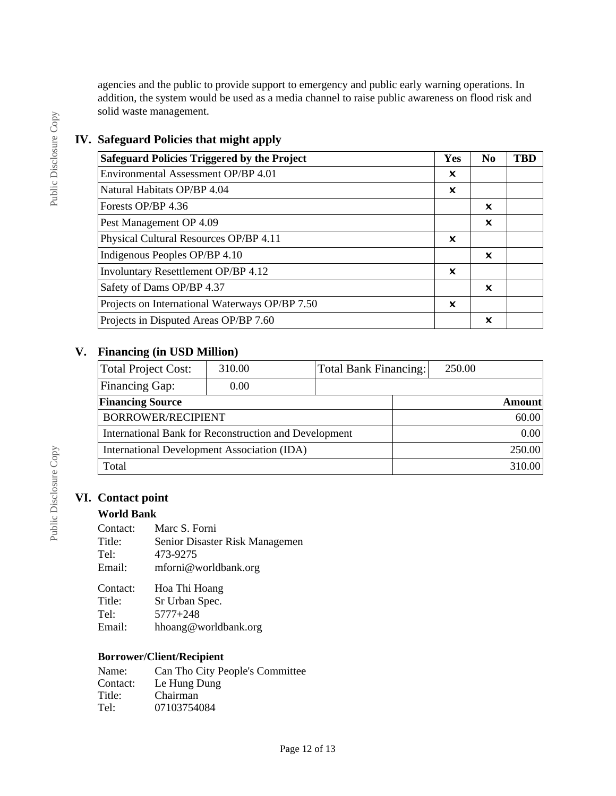agencies and the public to provide support to emergency and public early warning operations. In addition, the system would be used as a media channel to raise public awareness on flood risk and solid waste management.

### **IV. Safeguard Policies that might apply**

| <b>Safeguard Policies Triggered by the Project</b> | Yes                       | N <sub>0</sub>            | <b>TBD</b> |
|----------------------------------------------------|---------------------------|---------------------------|------------|
| Environmental Assessment OP/BP 4.01                | ×                         |                           |            |
| Natural Habitats OP/BP 4.04                        | ×                         |                           |            |
| Forests OP/BP 4.36                                 |                           | ×                         |            |
| Pest Management OP 4.09                            |                           | ×                         |            |
| Physical Cultural Resources OP/BP 4.11             | ×                         |                           |            |
| Indigenous Peoples OP/BP 4.10                      |                           | ×                         |            |
| <b>Involuntary Resettlement OP/BP 4.12</b>         | $\boldsymbol{\mathsf{x}}$ |                           |            |
| Safety of Dams OP/BP 4.37                          |                           | ×                         |            |
| Projects on International Waterways OP/BP 7.50     | ×                         |                           |            |
| Projects in Disputed Areas OP/BP 7.60              |                           | $\boldsymbol{\mathsf{x}}$ |            |

### **V. Financing (in USD Million)**

| <b>Total Project Cost:</b>                            | 310.00 | Total Bank Financing: | 250.00        |  |
|-------------------------------------------------------|--------|-----------------------|---------------|--|
| Financing Gap:                                        | 0.00   |                       |               |  |
| <b>Financing Source</b>                               |        |                       | <b>Amount</b> |  |
| BORROWER/RECIPIENT                                    |        |                       | 60.00         |  |
| International Bank for Reconstruction and Development |        |                       | 0.00          |  |
| International Development Association (IDA)           |        |                       | 250.00        |  |
| Total                                                 |        |                       | 310.00        |  |

### **VI. Contact point**

### **World Bank**

| Marc S. Forni                  |
|--------------------------------|
| Senior Disaster Risk Managemen |
| 473-9275                       |
| mforni@worldbank.org           |
|                                |

| Contact: | Hoa Thi Hoang        |
|----------|----------------------|
| Title:   | Sr Urban Spec.       |
| Tel:     | $5777 + 248$         |
| Email:   | hhoang@worldbank.org |

### **Borrower/Client/Recipient**

| Name:    | Can Tho City People's Committee |
|----------|---------------------------------|
| Contact: | Le Hung Dung                    |
| Title:   | Chairman                        |
| Tel:     | 07103754084                     |